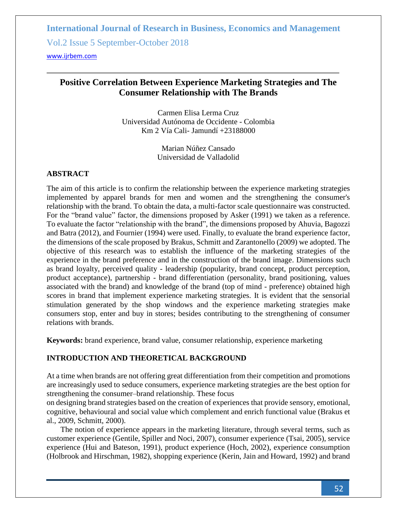#### **Positive Correlation Between Experience Marketing Strategies and The Consumer Relationship with The Brands**

Carmen Elisa Lerma Cruz Universidad Autónoma de Occidente - Colombia Km 2 Vía Cali- Jamundí +23188000

> Marian Núñez Cansado Universidad de Valladolid

#### **ABSTRACT**

The aim of this article is to confirm the relationship between the experience marketing strategies implemented by apparel brands for men and women and the strengthening the consumer's relationship with the brand. To obtain the data, a multi-factor scale questionnaire was constructed. For the "brand value" factor, the dimensions proposed by Asker (1991) we taken as a reference. To evaluate the factor "relationship with the brand", the dimensions proposed by Ahuvia, Bagozzi and Batra (2012), and Fournier (1994) were used. Finally, to evaluate the brand experience factor, the dimensions of the scale proposed by Brakus, Schmitt and Zarantonello (2009) we adopted. The objective of this research was to establish the influence of the marketing strategies of the experience in the brand preference and in the construction of the brand image. Dimensions such as brand loyalty, perceived quality - leadership (popularity, brand concept, product perception, product acceptance), partnership - brand differentiation (personality, brand positioning, values associated with the brand) and knowledge of the brand (top of mind - preference) obtained high scores in brand that implement experience marketing strategies. It is evident that the sensorial stimulation generated by the shop windows and the experience marketing strategies make consumers stop, enter and buy in stores; besides contributing to the strengthening of consumer relations with brands.

**Keywords:** brand experience, brand value, consumer relationship, experience marketing

#### **INTRODUCTION AND THEORETICAL BACKGROUND**

At a time when brands are not offering great differentiation from their competition and promotions are increasingly used to seduce consumers, experience marketing strategies are the best option for strengthening the consumer–brand relationship. These focus

on designing brand strategies based on the creation of experiences that provide sensory, emotional, cognitive, behavioural and social value which complement and enrich functional value (Brakus et al., 2009, Schmitt, 2000).

The notion of experience appears in the marketing literature, through several terms, such as customer experience (Gentile, Spiller and Noci, 2007), consumer experience (Tsai, 2005), service experience (Hui and Bateson, 1991), product experience (Hoch, 2002), experience consumption (Holbrook and Hirschman, 1982), shopping experience (Kerin, Jain and Howard, 1992) and brand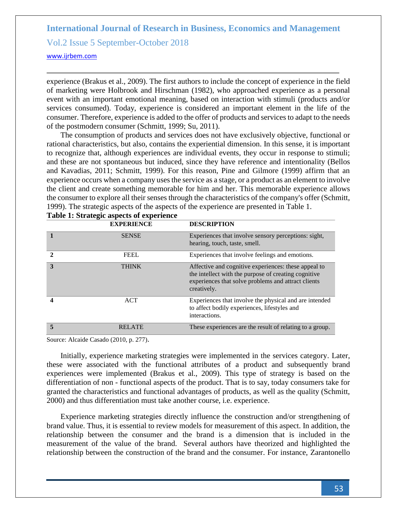<www.ijrbem.com>

experience (Brakus et al., 2009). The first authors to include the concept of experience in the field of marketing were Holbrook and Hirschman (1982), who approached experience as a personal event with an important emotional meaning, based on interaction with stimuli (products and/or services consumed). Today, experience is considered an important element in the life of the consumer. Therefore, experience is added to the offer of products and services to adapt to the needs of the postmodern consumer (Schmitt, 1999; Su, 2011).

The consumption of products and services does not have exclusively objective, functional or rational characteristics, but also, contains the experiential dimension. In this sense, it is important to recognize that, although experiences are individual events, they occur in response to stimuli; and these are not spontaneous but induced, since they have reference and intentionality (Bellos and Kavadias, 2011; Schmitt, 1999). For this reason, Pine and Gilmore (1999) affirm that an experience occurs when a company uses the service as a stage, or a product as an element to involve the client and create something memorable for him and her. This memorable experience allows the consumer to explore all their senses through the characteristics of the company's offer (Schmitt, 1999). The strategic aspects of the aspects of the experience are presented in Table 1.

|   | <b>EXPERIENCE</b> | <b>DESCRIPTION</b>                                                                                                                                                                 |
|---|-------------------|------------------------------------------------------------------------------------------------------------------------------------------------------------------------------------|
|   | <b>SENSE</b>      | Experiences that involve sensory perceptions: sight,<br>hearing, touch, taste, smell.                                                                                              |
|   | <b>FEEL</b>       | Experiences that involve feelings and emotions.                                                                                                                                    |
| 3 | <b>THINK</b>      | Affective and cognitive experiences: these appeal to<br>the intellect with the purpose of creating cognitive<br>experiences that solve problems and attract clients<br>creatively. |
|   | <b>ACT</b>        | Experiences that involve the physical and are intended<br>to affect bodily experiences, lifestyles and<br>interactions.                                                            |
| 5 | <b>RELATE</b>     | These experiences are the result of relating to a group.                                                                                                                           |

|  | Table 1: Strategic aspects of experience |
|--|------------------------------------------|
|  |                                          |

Source: Alcaide Casado (2010, p. 277).

Initially, experience marketing strategies were implemented in the services category. Later, these were associated with the functional attributes of a product and subsequently brand experiences were implemented (Brakus et al., 2009). This type of strategy is based on the differentiation of non - functional aspects of the product. That is to say, today consumers take for granted the characteristics and functional advantages of products, as well as the quality (Schmitt, 2000) and thus differentiation must take another course, i.e. experience.

Experience marketing strategies directly influence the construction and/or strengthening of brand value. Thus, it is essential to review models for measurement of this aspect. In addition, the relationship between the consumer and the brand is a dimension that is included in the measurement of the value of the brand. Several authors have theorized and highlighted the relationship between the construction of the brand and the consumer. For instance, Zarantonello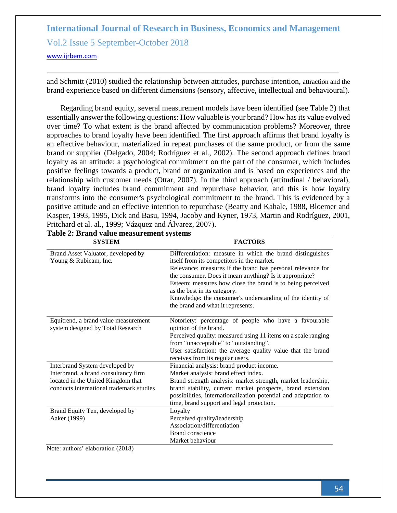and Schmitt (2010) studied the relationship between attitudes, purchase intention, attraction and the brand experience based on different dimensions (sensory, affective, intellectual and behavioural).

Regarding brand equity, several measurement models have been identified (see Table 2) that essentially answer the following questions: How valuable is your brand? How has its value evolved over time? To what extent is the brand affected by communication problems? Moreover, three approaches to brand loyalty have been identified. The first approach affirms that brand loyalty is an effective behaviour, materialized in repeat purchases of the same product, or from the same brand or supplier (Delgado, 2004; Rodríguez et al., 2002). The second approach defines brand loyalty as an attitude: a psychological commitment on the part of the consumer, which includes positive feelings towards a product, brand or organization and is based on experiences and the relationship with customer needs (Ottar, 2007). In the third approach (attitudinal / behavioral), brand loyalty includes brand commitment and repurchase behavior, and this is how loyalty transforms into the consumer's psychological commitment to the brand. This is evidenced by a positive attitude and an effective intention to repurchase (Beatty and Kahale, 1988, Bloemer and Kasper, 1993, 1995, Dick and Basu, 1994, Jacoby and Kyner, 1973, Martin and Rodríguez, 2001, Pritchard et al. al., 1999; Vázquez and Álvarez, 2007).

| <b>SYSTEM</b>                                                                  | <b>FACTORS</b>                                                                                                                                                                                                                                                                                                                                                                                                                     |  |  |  |
|--------------------------------------------------------------------------------|------------------------------------------------------------------------------------------------------------------------------------------------------------------------------------------------------------------------------------------------------------------------------------------------------------------------------------------------------------------------------------------------------------------------------------|--|--|--|
| Brand Asset Valuator, developed by<br>Young & Rubicam, Inc.                    | Differentiation: measure in which the brand distinguishes<br>itself from its competitors in the market.<br>Relevance: measures if the brand has personal relevance for<br>the consumer. Does it mean anything? Is it appropriate?<br>Esteem: measures how close the brand is to being perceived<br>as the best in its category.<br>Knowledge: the consumer's understanding of the identity of<br>the brand and what it represents. |  |  |  |
| Equitrend, a brand value measurement<br>system designed by Total Research      | Notoriety: percentage of people who have a favourable<br>opinion of the brand.<br>Perceived quality: measured using 11 items on a scale ranging<br>from "unacceptable" to "outstanding".<br>User satisfaction: the average quality value that the brand<br>receives from its regular users.                                                                                                                                        |  |  |  |
| Interbrand System developed by                                                 | Financial analysis: brand product income.                                                                                                                                                                                                                                                                                                                                                                                          |  |  |  |
| Interbrand, a brand consultancy firm                                           | Market analysis: brand effect index.                                                                                                                                                                                                                                                                                                                                                                                               |  |  |  |
| located in the United Kingdom that<br>conducts international trademark studies | Brand strength analysis: market strength, market leadership,<br>brand stability, current market prospects, brand extension<br>possibilities, internationalization potential and adaptation to<br>time, brand support and legal protection.                                                                                                                                                                                         |  |  |  |
| Brand Equity Ten, developed by                                                 | Loyalty                                                                                                                                                                                                                                                                                                                                                                                                                            |  |  |  |
| Aaker (1999)                                                                   | Perceived quality/leadership                                                                                                                                                                                                                                                                                                                                                                                                       |  |  |  |
|                                                                                | Association/differentiation                                                                                                                                                                                                                                                                                                                                                                                                        |  |  |  |
|                                                                                | Brand conscience                                                                                                                                                                                                                                                                                                                                                                                                                   |  |  |  |
|                                                                                | Market behaviour                                                                                                                                                                                                                                                                                                                                                                                                                   |  |  |  |

| Table 2: Brand value measurement systems |  |
|------------------------------------------|--|
|------------------------------------------|--|

Note: authors' elaboration (2018)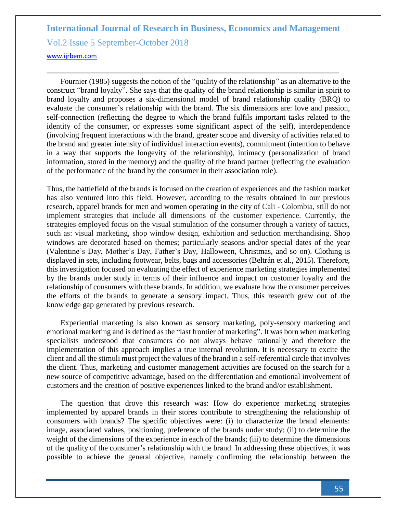Fournier (1985) suggests the notion of the "quality of the relationship" as an alternative to the construct "brand loyalty". She says that the quality of the brand relationship is similar in spirit to brand loyalty and proposes a six-dimensional model of brand relationship quality (BRQ) to evaluate the consumer's relationship with the brand. The six dimensions are: love and passion, self-connection (reflecting the degree to which the brand fulfils important tasks related to the identity of the consumer, or expresses some significant aspect of the self), interdependence (involving frequent interactions with the brand, greater scope and diversity of activities related to the brand and greater intensity of individual interaction events), commitment (intention to behave in a way that supports the longevity of the relationship), intimacy (personalization of brand information, stored in the memory) and the quality of the brand partner (reflecting the evaluation of the performance of the brand by the consumer in their association role).

Thus, the battlefield of the brands is focused on the creation of experiences and the fashion market has also ventured into this field. However, according to the results obtained in our previous research, apparel brands for men and women operating in the city of Cali - Colombia, still do not implement strategies that include all dimensions of the customer experience. Currently, the strategies employed focus on the visual stimulation of the consumer through a variety of tactics, such as: visual marketing, shop window design, exhibition and seduction merchandising. Shop windows are decorated based on themes; particularly seasons and/or special dates of the year (Valentine's Day, Mother's Day, Father's Day, Halloween, Christmas, and so on). Clothing is displayed in sets, including footwear, belts, bags and accessories (Beltrán et al., 2015). Therefore, this investigation focused on evaluating the effect of experience marketing strategies implemented by the brands under study in terms of their influence and impact on customer loyalty and the relationship of consumers with these brands. In addition, we evaluate how the consumer perceives the efforts of the brands to generate a sensory impact. Thus, this research grew out of the knowledge gap generated by previous research.

Experiential marketing is also known as sensory marketing, poly-sensory marketing and emotional marketing and is defined as the "last frontier of marketing". It was born when marketing specialists understood that consumers do not always behave rationally and therefore the implementation of this approach implies a true internal revolution. It is necessary to excite the client and all the stimuli must project the values of the brand in a self-referential circle that involves the client. Thus, marketing and customer management activities are focused on the search for a new source of competitive advantage, based on the differentiation and emotional involvement of customers and the creation of positive experiences linked to the brand and/or establishment.

The question that drove this research was: How do experience marketing strategies implemented by apparel brands in their stores contribute to strengthening the relationship of consumers with brands? The specific objectives were: (i) to characterize the brand elements: image, associated values, positioning, preference of the brands under study; (ii) to determine the weight of the dimensions of the experience in each of the brands; (iii) to determine the dimensions of the quality of the consumer's relationship with the brand. In addressing these objectives, it was possible to achieve the general objective, namely confirming the relationship between the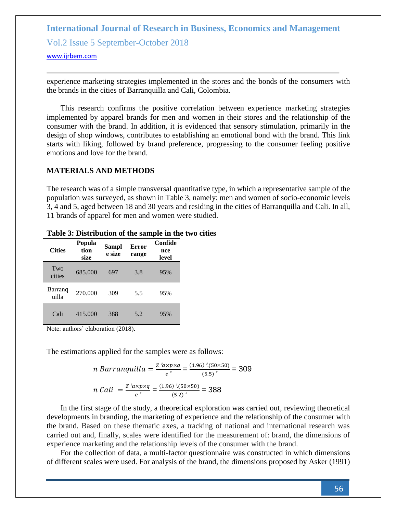experience marketing strategies implemented in the stores and the bonds of the consumers with the brands in the cities of Barranquilla and Cali, Colombia.

This research confirms the positive correlation between experience marketing strategies implemented by apparel brands for men and women in their stores and the relationship of the consumer with the brand. In addition, it is evidenced that sensory stimulation, primarily in the design of shop windows, contributes to establishing an emotional bond with the brand. This link starts with liking, followed by brand preference, progressing to the consumer feeling positive emotions and love for the brand.

#### **MATERIALS AND METHODS**

The research was of a simple transversal quantitative type, in which a representative sample of the population was surveyed, as shown in Table 3, namely: men and women of socio-economic levels 3, 4 and 5, aged between 18 and 30 years and residing in the cities of Barranquilla and Cali. In all, 11 brands of apparel for men and women were studied.

| <b>Cities</b>    | Popula<br>Sampl<br>tion<br>e size<br>size |     | <b>Error</b><br>range | Confide<br>nce<br>level |  |
|------------------|-------------------------------------------|-----|-----------------------|-------------------------|--|
| Two<br>cities    | 685,000                                   | 697 | 3.8                   | 95%                     |  |
| Barranq<br>uilla | 270.000                                   | 309 | 5.5                   | 95%                     |  |
| Cali             | 415.000                                   | 388 | 5.2                   | 95%                     |  |

#### **Table 3: Distribution of the sample in the two cities**

Note: authors' elaboration (2018).

The estimations applied for the samples were as follows:

n Barranquilla = 
$$
\frac{Z^2 a x p x q}{e^2}
$$
 =  $\frac{(1.96)^2 (50 \times 50)}{(5.5)^2}$  = 309  
n Cali =  $\frac{Z^2 a x p x q}{e^2}$  =  $\frac{(1.96)^2 (50 \times 50)}{(5.2)^2}$  = 388

In the first stage of the study, a theoretical exploration was carried out, reviewing theoretical developments in branding, the marketing of experience and the relationship of the consumer with the brand. Based on these thematic axes, a tracking of national and international research was carried out and, finally, scales were identified for the measurement of: brand, the dimensions of experience marketing and the relationship levels of the consumer with the brand.

For the collection of data, a multi-factor questionnaire was constructed in which dimensions of different scales were used. For analysis of the brand, the dimensions proposed by Asker (1991)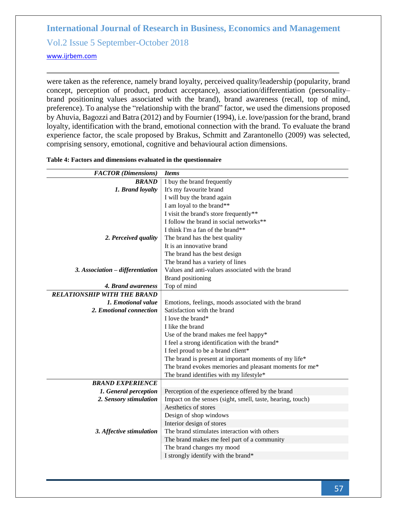<www.ijrbem.com>

were taken as the reference, namely brand loyalty, perceived quality/leadership (popularity, brand concept, perception of product, product acceptance), association/differentiation (personality– brand positioning values associated with the brand), brand awareness (recall, top of mind, preference). To analyse the "relationship with the brand" factor, we used the dimensions proposed by Ahuvia, Bagozzi and Batra (2012) and by Fournier (1994), i.e. love/passion for the brand, brand loyalty, identification with the brand, emotional connection with the brand. To evaluate the brand experience factor, the scale proposed by Brakus, Schmitt and Zarantonello (2009) was selected, comprising sensory, emotional, cognitive and behavioural action dimensions.

| Table 4: Factors and dimensions evaluated in the questionnaire |  |
|----------------------------------------------------------------|--|
|----------------------------------------------------------------|--|

| <b>FACTOR</b> (Dimensions)         | <b>Items</b>                                               |
|------------------------------------|------------------------------------------------------------|
| <b>BRAND</b>                       | I buy the brand frequently                                 |
| 1. Brand loyalty                   | It's my favourite brand                                    |
|                                    | I will buy the brand again                                 |
|                                    | I am loyal to the brand**                                  |
|                                    | I visit the brand's store frequently**                     |
|                                    | I follow the brand in social networks**                    |
|                                    | I think I'm a fan of the brand**                           |
| 2. Perceived quality               | The brand has the best quality                             |
|                                    | It is an innovative brand                                  |
|                                    | The brand has the best design                              |
|                                    | The brand has a variety of lines                           |
| 3. Association - differentiation   | Values and anti-values associated with the brand           |
|                                    | <b>Brand positioning</b>                                   |
| 4. Brand awareness                 | Top of mind                                                |
| <b>RELATIONSHIP WITH THE BRAND</b> |                                                            |
| 1. Emotional value                 | Emotions, feelings, moods associated with the brand        |
| 2. Emotional connection            | Satisfaction with the brand                                |
|                                    | I love the brand*                                          |
|                                    | I like the brand                                           |
|                                    | Use of the brand makes me feel happy*                      |
|                                    | I feel a strong identification with the brand*             |
|                                    | I feel proud to be a brand client*                         |
|                                    | The brand is present at important moments of my life*      |
|                                    | The brand evokes memories and pleasant moments for me*     |
|                                    | The brand identifies with my lifestyle*                    |
| <b>BRAND EXPERIENCE</b>            |                                                            |
| 1. General perception              | Perception of the experience offered by the brand          |
| 2. Sensory stimulation             | Impact on the senses (sight, smell, taste, hearing, touch) |
|                                    | Aesthetics of stores                                       |
|                                    | Design of shop windows                                     |
|                                    | Interior design of stores                                  |
| 3. Affective stimulation           | The brand stimulates interaction with others               |
|                                    | The brand makes me feel part of a community                |
|                                    | The brand changes my mood                                  |
|                                    | I strongly identify with the brand*                        |
|                                    |                                                            |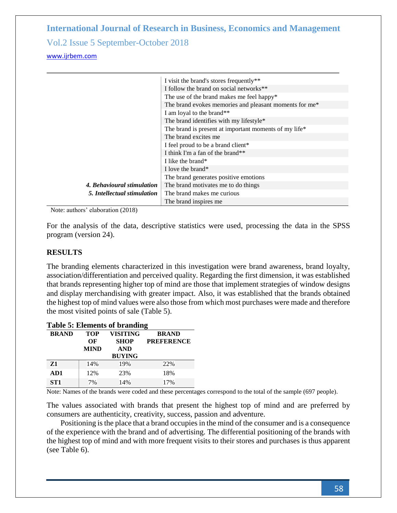|                             | I visit the brand's stores frequently**                |
|-----------------------------|--------------------------------------------------------|
|                             | I follow the brand on social networks**                |
|                             | The use of the brand makes me feel happy*              |
|                             | The brand evokes memories and pleasant moments for me* |
|                             | I am loyal to the brand**                              |
|                             | The brand identifies with my lifestyle*                |
|                             | The brand is present at important moments of my life*  |
|                             | The brand excites me                                   |
|                             | I feel proud to be a brand client*                     |
|                             | I think I'm a fan of the brand**                       |
|                             | I like the brand*                                      |
|                             | I love the brand*                                      |
|                             | The brand generates positive emotions                  |
| 4. Behavioural stimulation  | The brand motivates me to do things                    |
| 5. Intellectual stimulation | The brand makes me curious                             |
|                             | The brand inspires me                                  |

Note: authors' elaboration (2018)

For the analysis of the data, descriptive statistics were used, processing the data in the SPSS program (version 24).

#### **RESULTS**

The branding elements characterized in this investigation were brand awareness, brand loyalty, association/differentiation and perceived quality. Regarding the first dimension, it was established that brands representing higher top of mind are those that implement strategies of window designs and display merchandising with greater impact. Also, it was established that the brands obtained the highest top of mind values were also those from which most purchases were made and therefore the most visited points of sale (Table 5).

| <b>Table 5: Elements of branding</b> |             |               |                   |  |  |  |  |
|--------------------------------------|-------------|---------------|-------------------|--|--|--|--|
| <b>BRAND</b>                         | <b>TOP</b>  |               | <b>BRAND</b>      |  |  |  |  |
| OF                                   |             | <b>SHOP</b>   | <b>PREFERENCE</b> |  |  |  |  |
|                                      | <b>MIND</b> | <b>AND</b>    |                   |  |  |  |  |
|                                      |             | <b>BUYING</b> |                   |  |  |  |  |
| Z1                                   | 14%         | 19%           | 22%               |  |  |  |  |
| AD1                                  | 12%         | 23%           | 18%               |  |  |  |  |
| ST <sub>1</sub>                      | 7%          | 14%           | 17%               |  |  |  |  |

Note: Names of the brands were coded and these percentages correspond to the total of the sample (697 people).

The values associated with brands that present the highest top of mind and are preferred by consumers are authenticity, creativity, success, passion and adventure.

Positioning is the place that a brand occupies in the mind of the consumer and is a consequence of the experience with the brand and of advertising. The differential positioning of the brands with the highest top of mind and with more frequent visits to their stores and purchases is thus apparent (see Table 6).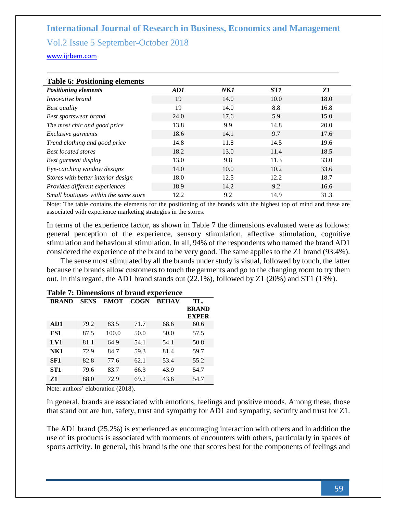<www.ijrbem.com>

| <b>Table 6: Positioning elements</b>  |      |                 |                 |      |  |  |  |
|---------------------------------------|------|-----------------|-----------------|------|--|--|--|
| <b>Positioning elements</b>           | AD1  | N <sub>K1</sub> | ST <sub>1</sub> | Z1   |  |  |  |
| Innovative brand                      | 19   | 14.0            | 10.0            | 18.0 |  |  |  |
| <b>Best quality</b>                   | 19   | 14.0            | 8.8             | 16.8 |  |  |  |
| <b>Best sportswear brand</b>          | 24.0 | 17.6            | 5.9             | 15.0 |  |  |  |
| The most chic and good price          | 13.8 | 9.9             | 14.8            | 20.0 |  |  |  |
| Exclusive garments                    | 18.6 | 14.1            | 9.7             | 17.6 |  |  |  |
| Trend clothing and good price         | 14.8 | 11.8            | 14.5            | 19.6 |  |  |  |
| <b>Best located stores</b>            | 18.2 | 13.0            | 11.4            | 18.5 |  |  |  |
| Best garment display                  | 13.0 | 9.8             | 11.3            | 33.0 |  |  |  |
| Eye-catching window designs           | 14.0 | 10.0            | 10.2            | 33.6 |  |  |  |
| Stores with better interior design    | 18.0 | 12.5            | 12.2            | 18.7 |  |  |  |
| Provides different experiences        | 18.9 | 14.2            | 9.2             | 16.6 |  |  |  |
| Small boutiques within the same store | 12.2 | 9.2             | 14.9            | 31.3 |  |  |  |

#### **Table 6: Positioning elements**

Note: The table contains the elements for the positioning of the brands with the highest top of mind and these are associated with experience marketing strategies in the stores.

In terms of the experience factor, as shown in Table 7 the dimensions evaluated were as follows: general perception of the experience, sensory stimulation, affective stimulation, cognitive stimulation and behavioural stimulation. In all, 94% of the respondents who named the brand AD1 considered the experience of the brand to be very good. The same applies to the Z1 brand (93.4%).

The sense most stimulated by all the brands under study is visual, followed by touch, the latter because the brands allow customers to touch the garments and go to the changing room to try them out. In this regard, the AD1 brand stands out (22.1%), followed by Z1 (20%) and ST1 (13%).

| <b>BRAND</b>    | <b>SENS</b> | <b>EMOT</b> | <b>COGN</b> | <b>BEHAV</b> | TL.          |
|-----------------|-------------|-------------|-------------|--------------|--------------|
|                 |             |             |             |              | <b>BRAND</b> |
|                 |             |             |             |              | <b>EXPER</b> |
| AD1             | 79.2        | 83.5        | 71.7        | 68.6         | 60.6         |
| ES1             | 87.5        | 100.0       | 50.0        | 50.0         | 57.5         |
| LV1             | 81.1        | 64.9        | 54.1        | 54.1         | 50.8         |
| NK1             | 72.9        | 84.7        | 59.3        | 81.4         | 59.7         |
| SF <sub>1</sub> | 82.8        | 77.6        | 62.1        | 53.4         | 55.2         |
| ST <sub>1</sub> | 79.6        | 83.7        | 66.3        | 43.9         | 54.7         |
| Z1              | 88.0        | 72.9        | 69.2        | 43.6         | 54.7         |

#### **Table 7: Dimensions of brand experience**

Note: authors' elaboration (2018).

In general, brands are associated with emotions, feelings and positive moods. Among these, those that stand out are fun, safety, trust and sympathy for AD1 and sympathy, security and trust for Z1.

The AD1 brand (25.2%) is experienced as encouraging interaction with others and in addition the use of its products is associated with moments of encounters with others, particularly in spaces of sports activity. In general, this brand is the one that scores best for the components of feelings and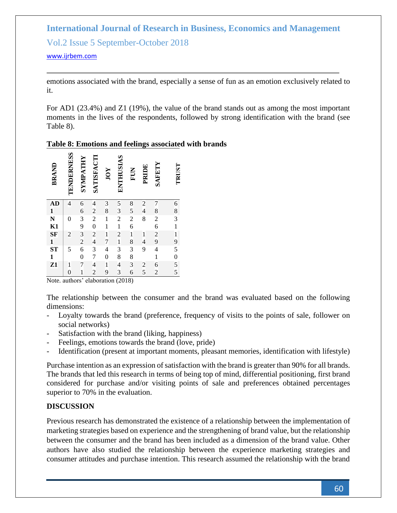<www.ijrbem.com>

emotions associated with the brand, especially a sense of fun as an emotion exclusively related to it.

For AD1 (23.4%) and Z1 (19%), the value of the brand stands out as among the most important moments in the lives of the respondents, followed by strong identification with the brand (see Table 8).

#### **Table 8: Emotions and feelings associated with brands**

| <b>BRAND</b>   | TENDERNESS       | SYMPATHY       | SATISFACTI               | IOY                      | <b>ENTHUSIAS</b>         | FUN                     | PRIDE                    | <b>SAFETY</b>            | TRUST                               |
|----------------|------------------|----------------|--------------------------|--------------------------|--------------------------|-------------------------|--------------------------|--------------------------|-------------------------------------|
| <b>AD</b>      | $\overline{4}$   | 6              | $\overline{\mathcal{L}}$ | 3                        | 5                        | 8                       | $\overline{c}$           | 7                        | 6                                   |
| $\mathbf{1}$   |                  | 6              | $\overline{\mathbf{c}}$  | 8                        | 3                        | 5                       | $\overline{4}$           | 8                        | 8                                   |
|                | $\theta$         | 3              | $\overline{c}$           | 1                        | $\overline{c}$           | $\overline{\mathbf{c}}$ | 8                        | $\overline{\mathbf{c}}$  |                                     |
| $\frac{N}{K1}$ |                  | 9              | $\boldsymbol{0}$         | 1                        | $\mathbf{1}$             | 6                       |                          | 6                        | $\frac{3}{1}$                       |
| SF             | $\overline{c}$   | 3              | $\overline{c}$           | 1                        | $\overline{c}$           | $\,1$                   | 1                        | $\overline{c}$           | $\mathbf{1}$                        |
|                |                  | $\overline{c}$ | $\overline{\mathcal{L}}$ | 7                        | $\mathbf{1}$             | 8                       | $\overline{\mathcal{L}}$ | 9                        |                                     |
| 1<br>ST        | 5                | 6              | 3                        | $\overline{\mathcal{L}}$ | 3                        | 3                       | 9                        | $\overline{\mathcal{L}}$ |                                     |
| $\mathbf{1}$   |                  | $\overline{0}$ | $\overline{7}$           | $\overline{0}$           | 8                        | 8                       |                          | $\mathbf{1}$             |                                     |
| $\overline{z}$ | 1                | 7              | $\overline{4}$           | 1                        | $\overline{\mathcal{L}}$ | $\overline{\mathbf{3}}$ |                          | 6                        | $9\overline{5}0$<br>$5\overline{5}$ |
|                | $\boldsymbol{0}$ | 1              | $\overline{c}$           | 9                        | 3                        | 6                       | $rac{2}{5}$              | $\overline{c}$           |                                     |

Note. authors' elaboration (2018)

The relationship between the consumer and the brand was evaluated based on the following dimensions:

- Loyalty towards the brand (preference, frequency of visits to the points of sale, follower on social networks)
- Satisfaction with the brand (liking, happiness)
- Feelings, emotions towards the brand (love, pride)
- Identification (present at important moments, pleasant memories, identification with lifestyle)

Purchase intention as an expression of satisfaction with the brand is greater than 90% for all brands. The brands that led this research in terms of being top of mind, differential positioning, first brand considered for purchase and/or visiting points of sale and preferences obtained percentages superior to 70% in the evaluation.

#### **DISCUSSION**

Previous research has demonstrated the existence of a relationship between the implementation of marketing strategies based on experience and the strengthening of brand value, but the relationship between the consumer and the brand has been included as a dimension of the brand value. Other authors have also studied the relationship between the experience marketing strategies and consumer attitudes and purchase intention. This research assumed the relationship with the brand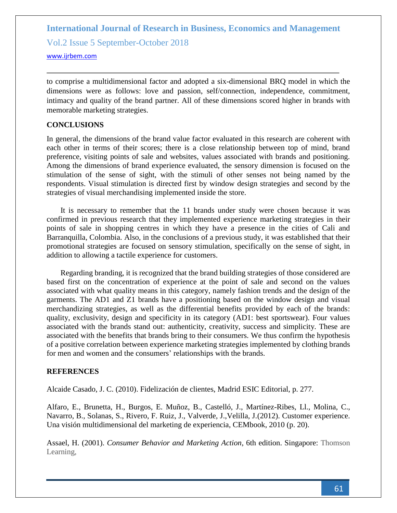<www.ijrbem.com>

to comprise a multidimensional factor and adopted a six-dimensional BRQ model in which the dimensions were as follows: love and passion, self/connection, independence, commitment, intimacy and quality of the brand partner. All of these dimensions scored higher in brands with memorable marketing strategies.

#### **CONCLUSIONS**

In general, the dimensions of the brand value factor evaluated in this research are coherent with each other in terms of their scores; there is a close relationship between top of mind, brand preference, visiting points of sale and websites, values associated with brands and positioning. Among the dimensions of brand experience evaluated, the sensory dimension is focused on the stimulation of the sense of sight, with the stimuli of other senses not being named by the respondents. Visual stimulation is directed first by window design strategies and second by the strategies of visual merchandising implemented inside the store.

It is necessary to remember that the 11 brands under study were chosen because it was confirmed in previous research that they implemented experience marketing strategies in their points of sale in shopping centres in which they have a presence in the cities of Cali and Barranquilla, Colombia. Also, in the conclusions of a previous study, it was established that their promotional strategies are focused on sensory stimulation, specifically on the sense of sight, in addition to allowing a tactile experience for customers.

Regarding branding, it is recognized that the brand building strategies of those considered are based first on the concentration of experience at the point of sale and second on the values associated with what quality means in this category, namely fashion trends and the design of the garments. The AD1 and Z1 brands have a positioning based on the window design and visual merchandizing strategies, as well as the differential benefits provided by each of the brands: quality, exclusivity, design and specificity in its category (AD1: best sportswear). Four values associated with the brands stand out: authenticity, creativity, success and simplicity. These are associated with the benefits that brands bring to their consumers. We thus confirm the hypothesis of a positive correlation between experience marketing strategies implemented by clothing brands for men and women and the consumers' relationships with the brands.

#### **REFERENCES**

Alcaide Casado, J. C. (2010). Fidelización de clientes, Madrid ESIC Editorial, p. 277.

Alfaro, E., Brunetta, H., Burgos, E. Muñoz, B., Castelló, J., Martínez-Ribes, Ll., Molina, C., Navarro, B., Solanas, S., Rivero, F. Ruiz, J., Valverde, J.,Velilla, J.(2012). Customer experience. Una visión multidimensional del marketing de experiencia, CEMbook, 2010 (p. 20).

Assael, H. (2001). *Consumer Behavior and Marketing Action*, 6th edition. Singapore: Thomson Learning,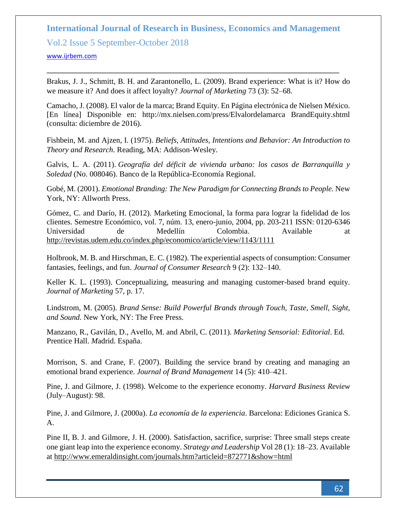#### **International Journal of Research in Business, Economics and Management**

Vol.2 Issue 5 September-October 2018

<www.ijrbem.com>

Brakus, J. J., Schmitt, B. H. and Zarantonello, L. (2009). Brand experience: What is it? How do we measure it? And does it affect loyalty? *Journal of Marketing* 73 (3): 52–68.

Camacho, J. (2008). El valor de la marca; Brand Equity. En Página electrónica de Nielsen México. [En línea] Disponible en: http://mx.nielsen.com/press/Elvalordelamarca BrandEquity.shtml (consulta: diciembre de 2016).

Fishbein, M. and Ajzen, I. (1975). *Beliefs, Attitudes, Intentions and Behavior: An Introduction to Theory and Research*. Reading, MA: Addison-Wesley.

Galvis, L. A. (2011). *Geografía del déficit de vivienda urbano: los casos de Barranquilla y Soledad* (No. 008046). Banco de la República-Economía Regional.

Gobé, M. (2001). *Emotional Branding: The New Paradigm for Connecting Brands to People.* New York, NY: Allworth Press.

Gómez, C. and Darío, H. (2012). Marketing Emocional, la forma para lograr la fidelidad de los clientes. Semestre Económico, vol. 7, núm. 13, enero-junio, 2004, pp. 203-211 ISSN: 0120-6346 Universidad de Medellín Colombia. Available at <http://revistas.udem.edu.co/index.php/economico/article/view/1143/1111>

Holbrook, M. B. and Hirschman, E. C. (1982). The experiential aspects of consumption: Consumer fantasies, feelings, and fun. *Journal of Consumer Research* 9 (2): 132–140.

Keller K. L. (1993). Conceptualizing, measuring and managing customer-based brand equity. *Journal of Marketing* 57, p. 17.

Lindstrom, M. (2005). *Brand Sense: Build Powerful Brands through Touch, Taste, Smell, Sight, and Sound*. New York, NY: The Free Press.

Manzano, R., Gavilán, D., Avello, M. and Abril, C. (2011). *Marketing Sensorial: Editorial*. Ed. Prentice Hall. *M*adrid. España.

Morrison, S. and Crane, F. (2007). Building the service brand by creating and managing an emotional brand experience. *Journal of Brand Management* 14 (5): 410–421.

Pine, J. and Gilmore, J. (1998). Welcome to the experience economy. *Harvard Business Review* (July–August): 98.

Pine, J. and Gilmore, J. (2000a). *La economía de la experiencia*. Barcelona: Ediciones Granica S. A.

Pine II, B. J. and Gilmore, J. H. (2000). Satisfaction, sacrifice, surprise: Three small steps create one giant leap into the experience economy. *Strategy and Leadership* Vol 28 (1): 18–23. Available at<http://www.emeraldinsight.com/journals.htm?articleid=872771&show=html>